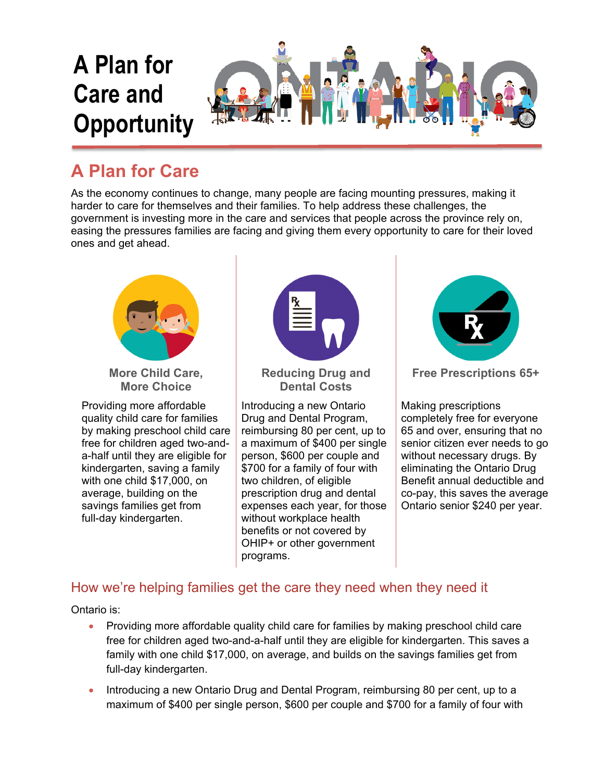

## **A Plan for Care**

As the economy continues to change, many people are facing mounting pressures, making it harder to care for themselves and their families. To help address these challenges, the government is investing more in the care and services that people across the province rely on, easing the pressures families are facing and giving them every opportunity to care for their loved ones and get ahead.



**More Child Care, More Choice** 

Providing more affordable quality child care for families by making preschool child care free for children aged two-anda-half until they are eligible for kindergarten, saving a family with one child \$17,000, on average, building on the savings families get from full-day kindergarten.



**Reducing Drug and Dental Costs** 

Introducing a new Ontario Drug and Dental Program, reimbursing 80 per cent, up to a maximum of \$400 per single person, \$600 per couple and \$700 for a family of four with two children, of eligible prescription drug and dental expenses each year, for those without workplace health benefits or not covered by OHIP+ or other government programs.



**Free Prescriptions 65+** 

Making prescriptions completely free for everyone 65 and over, ensuring that no senior citizen ever needs to go without necessary drugs. By eliminating the Ontario Drug Benefit annual deductible and co-pay, this saves the average Ontario senior \$240 per year.

## How we're helping families get the care they need when they need it

Ontario is:

- Providing more affordable quality child care for families by making preschool child care free for children aged two-and-a-half until they are eligible for kindergarten. This saves a family with one child \$17,000, on average, and builds on the savings families get from full-day kindergarten.
- Introducing a new Ontario Drug and Dental Program, reimbursing 80 per cent, up to a maximum of \$400 per single person, \$600 per couple and \$700 for a family of four with